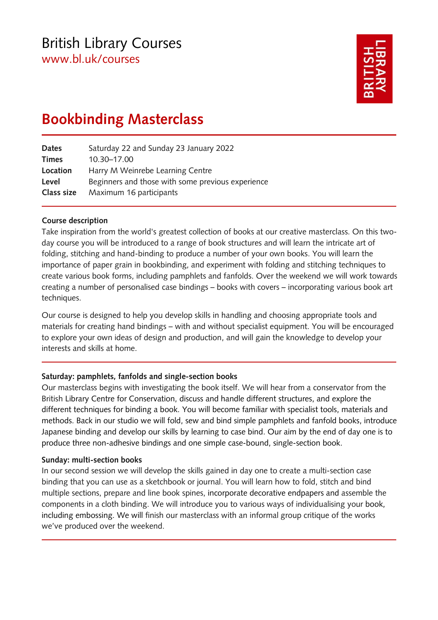# British Library Courses [www.bl.uk/courses](http://www.bl.uk/events/adult-learning-courses)



# **Bookbinding Masterclass**

| Dates        | Saturday 22 and Sunday 23 January 2022            |
|--------------|---------------------------------------------------|
| <b>Times</b> | 10.30-17.00                                       |
| Location     | Harry M Weinrebe Learning Centre                  |
| Level        | Beginners and those with some previous experience |
| Class size   | Maximum 16 participants                           |

# **Course description**

Take inspiration from the world's greatest collection of books at our creative masterclass. On this twoday course you will be introduced to a range of book structures and will learn the intricate art of folding, stitching and hand-binding to produce a number of your own books. You will learn the importance of paper grain in bookbinding, and experiment with folding and stitching techniques to create various book forms, including pamphlets and fanfolds. Over the weekend we will work towards creating a number of personalised case bindings – books with covers – incorporating various book art techniques.

Our course is designed to help you develop skills in handling and choosing appropriate tools and materials for creating hand bindings – with and without specialist equipment. You will be encouraged to explore your own ideas of design and production, and will gain the knowledge to develop your interests and skills at home.

# **Saturday: pamphlets, fanfolds and single-section books**

Our masterclass begins with investigating the book itself. We will hear from a conservator from the British Library Centre for Conservation, discuss and handle different structures, and explore the different techniques for binding a book. You will become familiar with specialist tools, materials and methods. Back in our studio we will fold, sew and bind simple pamphlets and fanfold books, introduce Japanese binding and develop our skills by learning to case bind. Our aim by the end of day one is to produce three non-adhesive bindings and one simple case-bound, single-section book.

# **Sunday: multi-section books**

In our second session we will develop the skills gained in day one to create a multi-section case binding that you can use as a sketchbook or journal. You will learn how to fold, stitch and bind multiple sections, prepare and line book spines, incorporate decorative endpapers and assemble the components in a cloth binding. We will introduce you to various ways of individualising your book, including embossing. We will finish our masterclass with an informal group critique of the works we've produced over the weekend.